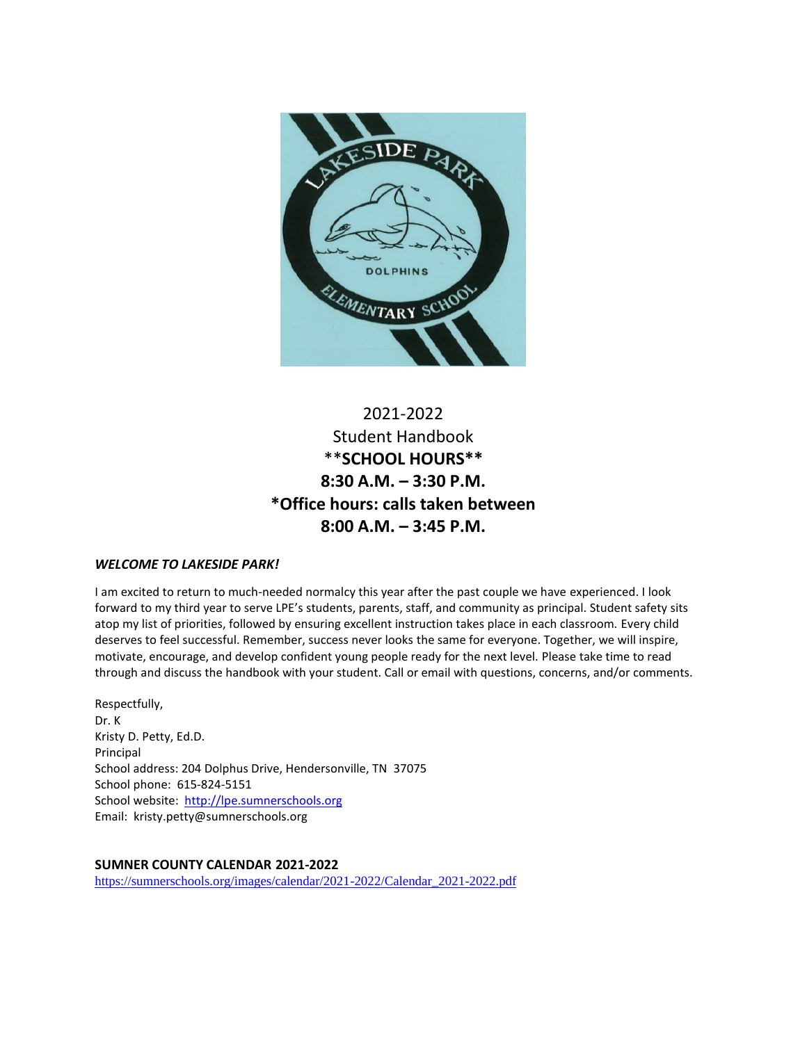

# 2021-2022 Student Handbook \*\***SCHOOL HOURS\*\* 8:30 A.M. – 3:30 P.M. \*Office hours: calls taken between 8:00 A.M. – 3:45 P.M.**

## *WELCOME TO LAKESIDE PARK!*

I am excited to return to much-needed normalcy this year after the past couple we have experienced. I look forward to my third year to serve LPE's students, parents, staff, and community as principal. Student safety sits atop my list of priorities, followed by ensuring excellent instruction takes place in each classroom. Every child deserves to feel successful. Remember, success never looks the same for everyone. Together, we will inspire, motivate, encourage, and develop confident young people ready for the next level. Please take time to read through and discuss the handbook with your student. Call or email with questions, concerns, and/or comments.

Respectfully, Dr. K Kristy D. Petty, Ed.D. Principal School address: 204 Dolphus Drive, Hendersonville, TN 37075 School phone: 615-824-5151 School website: [http://lpe.sumnerschools.org](http://lpe.sumnerschools.org/) Email: kristy.petty@sumnerschools.org

## **SUMNER COUNTY CALENDAR 2021-2022**

[https://sumnerschools.org/images/calendar/2021-2022/Calendar\\_2021-2022.pdf](https://sumnerschools.org/images/calendar/2021-2022/Calendar_2021-2022.pdf)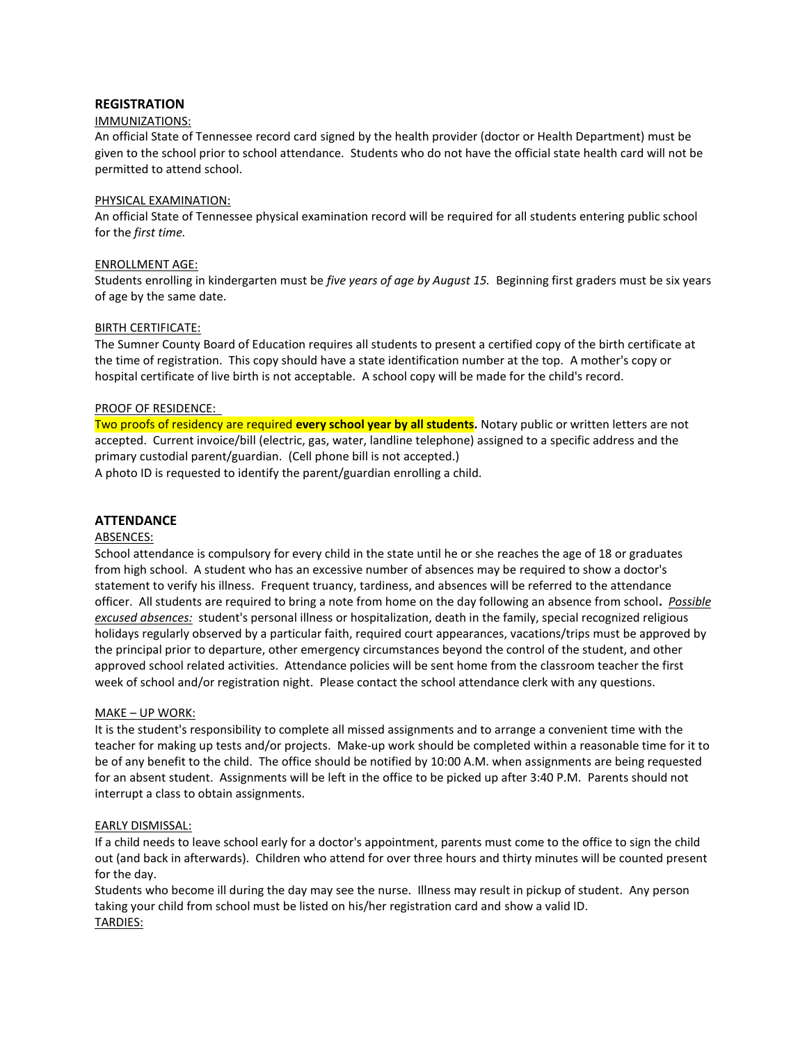## **REGISTRATION**

#### IMMUNIZATIONS:

An official State of Tennessee record card signed by the health provider (doctor or Health Department) must be given to the school prior to school attendance. Students who do not have the official state health card will not be permitted to attend school.

#### PHYSICAL EXAMINATION:

An official State of Tennessee physical examination record will be required for all students entering public school for the *first time.*

#### ENROLLMENT AGE:

Students enrolling in kindergarten must be *five years of age by August 15.* Beginning first graders must be six years of age by the same date.

### BIRTH CERTIFICATE:

The Sumner County Board of Education requires all students to present a certified copy of the birth certificate at the time of registration. This copy should have a state identification number at the top. A mother's copy or hospital certificate of live birth is not acceptable. A school copy will be made for the child's record.

#### PROOF OF RESIDENCE:

Two proofs of residency are required **every school year by all students.** Notary public or written letters are not accepted. Current invoice/bill (electric, gas, water, landline telephone) assigned to a specific address and the primary custodial parent/guardian. (Cell phone bill is not accepted.)

A photo ID is requested to identify the parent/guardian enrolling a child.

### **ATTENDANCE**

#### ABSENCES:

School attendance is compulsory for every child in the state until he or she reaches the age of 18 or graduates from high school. A student who has an excessive number of absences may be required to show a doctor's statement to verify his illness. Frequent truancy, tardiness, and absences will be referred to the attendance officer. All students are required to bring a note from home on the day following an absence from school**.** *Possible excused absences:* student's personal illness or hospitalization, death in the family, special recognized religious holidays regularly observed by a particular faith, required court appearances, vacations/trips must be approved by the principal prior to departure, other emergency circumstances beyond the control of the student, and other approved school related activities. Attendance policies will be sent home from the classroom teacher the first week of school and/or registration night. Please contact the school attendance clerk with any questions.

#### MAKE – UP WORK:

It is the student's responsibility to complete all missed assignments and to arrange a convenient time with the teacher for making up tests and/or projects. Make-up work should be completed within a reasonable time for it to be of any benefit to the child. The office should be notified by 10:00 A.M. when assignments are being requested for an absent student. Assignments will be left in the office to be picked up after 3:40 P.M. Parents should not interrupt a class to obtain assignments.

#### EARLY DISMISSAL:

If a child needs to leave school early for a doctor's appointment, parents must come to the office to sign the child out (and back in afterwards). Children who attend for over three hours and thirty minutes will be counted present for the day.

Students who become ill during the day may see the nurse. Illness may result in pickup of student. Any person taking your child from school must be listed on his/her registration card and show a valid ID. TARDIES: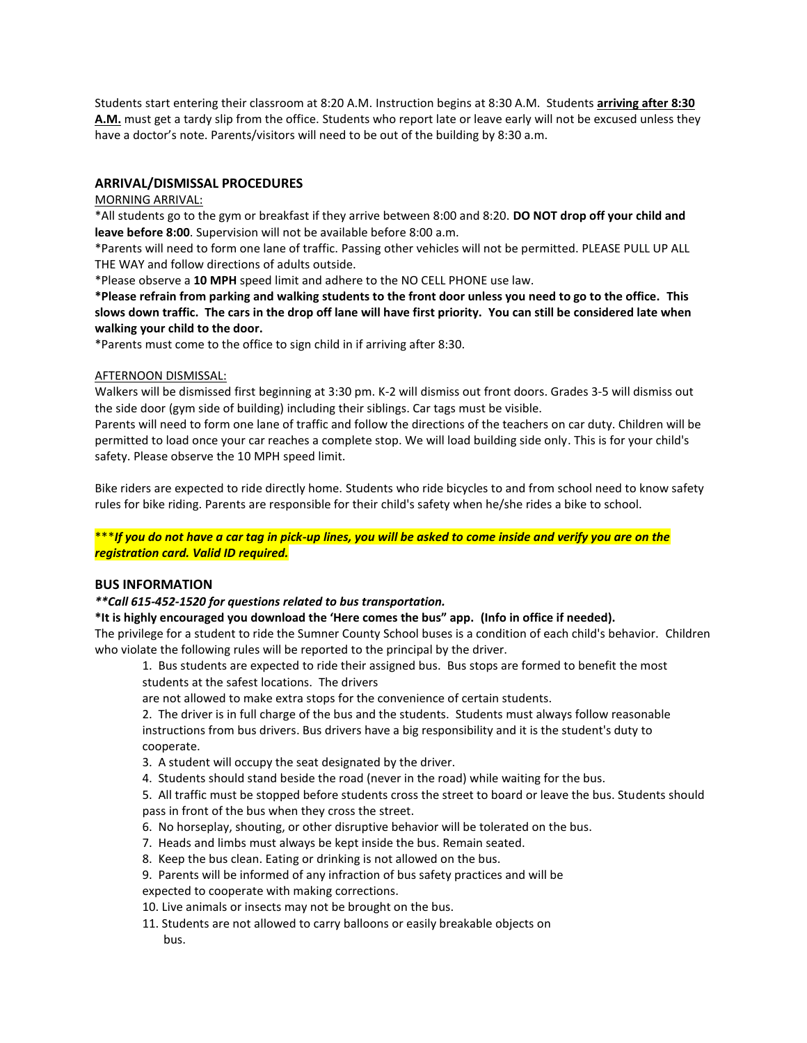Students start entering their classroom at 8:20 A.M. Instruction begins at 8:30 A.M. Students **arriving after 8:30 A.M.** must get a tardy slip from the office. Students who report late or leave early will not be excused unless they have a doctor's note. Parents/visitors will need to be out of the building by 8:30 a.m.

### **ARRIVAL/DISMISSAL PROCEDURES**

#### MORNING ARRIVAL:

\*All students go to the gym or breakfast if they arrive between 8:00 and 8:20. **DO NOT drop off your child and leave before 8:00**. Supervision will not be available before 8:00 a.m.

\*Parents will need to form one lane of traffic. Passing other vehicles will not be permitted. PLEASE PULL UP ALL THE WAY and follow directions of adults outside.

\*Please observe a **10 MPH** speed limit and adhere to the NO CELL PHONE use law.

**\*Please refrain from parking and walking students to the front door unless you need to go to the office. This slows down traffic. The cars in the drop off lane will have first priority. You can still be considered late when walking your child to the door.** 

\*Parents must come to the office to sign child in if arriving after 8:30.

#### AFTERNOON DISMISSAL:

Walkers will be dismissed first beginning at 3:30 pm. K-2 will dismiss out front doors. Grades 3-5 will dismiss out the side door (gym side of building) including their siblings. Car tags must be visible.

Parents will need to form one lane of traffic and follow the directions of the teachers on car duty. Children will be permitted to load once your car reaches a complete stop. We will load building side only. This is for your child's safety. Please observe the 10 MPH speed limit.

Bike riders are expected to ride directly home. Students who ride bicycles to and from school need to know safety rules for bike riding. Parents are responsible for their child's safety when he/she rides a bike to school.

\*\*\**If you do not have a car tag in pick-up lines, you will be asked to come inside and verify you are on the registration card. Valid ID required.*

#### **BUS INFORMATION**

#### *\*\*Call 615-452-1520 for questions related to bus transportation.*

**\*It is highly encouraged you download the 'Here comes the bus" app. (Info in office if needed).**

The privilege for a student to ride the Sumner County School buses is a condition of each child's behavior. Children who violate the following rules will be reported to the principal by the driver.

1. Bus students are expected to ride their assigned bus. Bus stops are formed to benefit the most students at the safest locations. The drivers

are not allowed to make extra stops for the convenience of certain students.

2. The driver is in full charge of the bus and the students. Students must always follow reasonable instructions from bus drivers. Bus drivers have a big responsibility and it is the student's duty to cooperate.

- 3. A student will occupy the seat designated by the driver.
- 4. Students should stand beside the road (never in the road) while waiting for the bus.

5. All traffic must be stopped before students cross the street to board or leave the bus. Students should pass in front of the bus when they cross the street.

- 6. No horseplay, shouting, or other disruptive behavior will be tolerated on the bus.
- 7. Heads and limbs must always be kept inside the bus. Remain seated.
- 8. Keep the bus clean. Eating or drinking is not allowed on the bus.
- 9. Parents will be informed of any infraction of bus safety practices and will be

expected to cooperate with making corrections.

- 10. Live animals or insects may not be brought on the bus.
- 11. Students are not allowed to carry balloons or easily breakable objects on bus.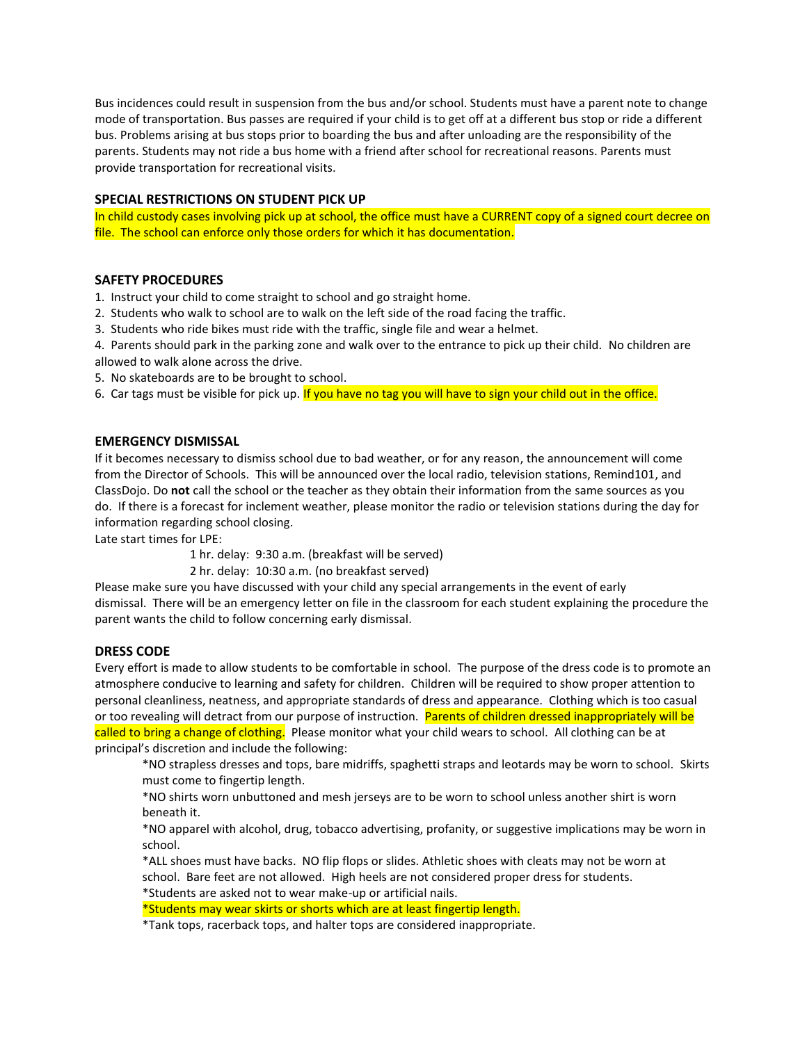Bus incidences could result in suspension from the bus and/or school. Students must have a parent note to change mode of transportation. Bus passes are required if your child is to get off at a different bus stop or ride a different bus. Problems arising at bus stops prior to boarding the bus and after unloading are the responsibility of the parents. Students may not ride a bus home with a friend after school for recreational reasons. Parents must provide transportation for recreational visits.

### **SPECIAL RESTRICTIONS ON STUDENT PICK UP**

In child custody cases involving pick up at school, the office must have a CURRENT copy of a signed court decree on file. The school can enforce only those orders for which it has documentation.

#### **SAFETY PROCEDURES**

1. Instruct your child to come straight to school and go straight home.

- 2. Students who walk to school are to walk on the left side of the road facing the traffic.
- 3. Students who ride bikes must ride with the traffic, single file and wear a helmet.

4. Parents should park in the parking zone and walk over to the entrance to pick up their child. No children are allowed to walk alone across the drive.

- 5. No skateboards are to be brought to school.
- 6. Car tags must be visible for pick up. If you have no tag you will have to sign your child out in the office.

#### **EMERGENCY DISMISSAL**

If it becomes necessary to dismiss school due to bad weather, or for any reason, the announcement will come from the Director of Schools. This will be announced over the local radio, television stations, Remind101, and ClassDojo. Do **not** call the school or the teacher as they obtain their information from the same sources as you do. If there is a forecast for inclement weather, please monitor the radio or television stations during the day for information regarding school closing.

Late start times for LPE:

1 hr. delay: 9:30 a.m. (breakfast will be served)

2 hr. delay: 10:30 a.m. (no breakfast served)

Please make sure you have discussed with your child any special arrangements in the event of early dismissal. There will be an emergency letter on file in the classroom for each student explaining the procedure the parent wants the child to follow concerning early dismissal.

## **DRESS CODE**

Every effort is made to allow students to be comfortable in school. The purpose of the dress code is to promote an atmosphere conducive to learning and safety for children. Children will be required to show proper attention to personal cleanliness, neatness, and appropriate standards of dress and appearance. Clothing which is too casual or too revealing will detract from our purpose of instruction. Parents of children dressed inappropriately will be called to bring a change of clothing. Please monitor what your child wears to school. All clothing can be at principal's discretion and include the following:

\*NO strapless dresses and tops, bare midriffs, spaghetti straps and leotards may be worn to school. Skirts must come to fingertip length.

\*NO shirts worn unbuttoned and mesh jerseys are to be worn to school unless another shirt is worn beneath it.

\*NO apparel with alcohol, drug, tobacco advertising, profanity, or suggestive implications may be worn in school.

\*ALL shoes must have backs. NO flip flops or slides. Athletic shoes with cleats may not be worn at school. Bare feet are not allowed. High heels are not considered proper dress for students. \*Students are asked not to wear make-up or artificial nails.

\*Students may wear skirts or shorts which are at least fingertip length.

\*Tank tops, racerback tops, and halter tops are considered inappropriate.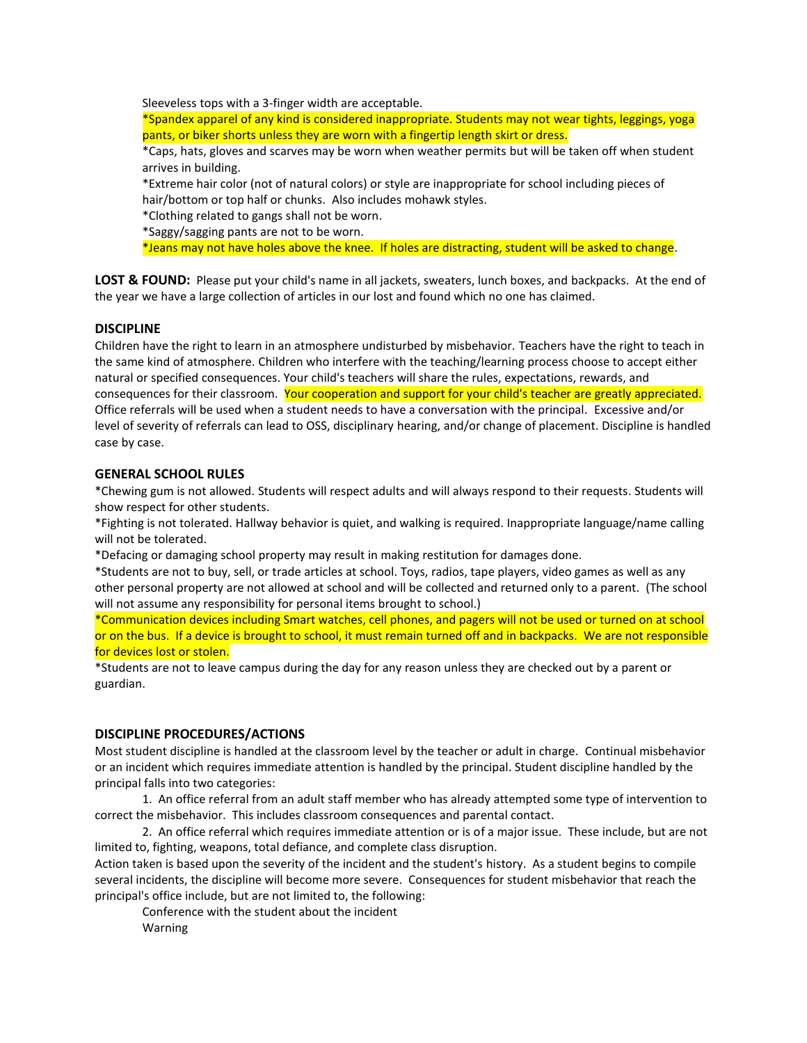Sleeveless tops with a 3-finger width are acceptable.

\*Spandex apparel of any kind is considered inappropriate. Students may not wear tights, leggings, yoga pants, or biker shorts unless they are worn with a fingertip length skirt or dress.

\*Caps, hats, gloves and scarves may be worn when weather permits but will be taken off when student arrives in building.

\*Extreme hair color (not of natural colors) or style are inappropriate for school including pieces of hair/bottom or top half or chunks. Also includes mohawk styles.

\*Clothing related to gangs shall not be worn.

\*Saggy/sagging pants are not to be worn.

\*Jeans may not have holes above the knee. If holes are distracting, student will be asked to change.

**LOST & FOUND:** Please put your child's name in all jackets, sweaters, lunch boxes, and backpacks. At the end of the year we have a large collection of articles in our lost and found which no one has claimed.

#### **DISCIPLINE**

Children have the right to learn in an atmosphere undisturbed by misbehavior. Teachers have the right to teach in the same kind of atmosphere. Children who interfere with the teaching/learning process choose to accept either natural or specified consequences. Your child's teachers will share the rules, expectations, rewards, and consequences for their classroom. Your cooperation and support for your child's teacher are greatly appreciated. Office referrals will be used when a student needs to have a conversation with the principal. Excessive and/or level of severity of referrals can lead to OSS, disciplinary hearing, and/or change of placement. Discipline is handled case by case.

#### **GENERAL SCHOOL RULES**

\*Chewing gum is not allowed. Students will respect adults and will always respond to their requests. Students will show respect for other students.

\*Fighting is not tolerated. Hallway behavior is quiet, and walking is required. Inappropriate language/name calling will not be tolerated.

\*Defacing or damaging school property may result in making restitution for damages done.

\*Students are not to buy, sell, or trade articles at school. Toys, radios, tape players, video games as well as any other personal property are not allowed at school and will be collected and returned only to a parent. (The school will not assume any responsibility for personal items brought to school.)

\*Communication devices including Smart watches, cell phones, and pagers will not be used or turned on at school or on the bus. If a device is brought to school, it must remain turned off and in backpacks. We are not responsible for devices lost or stolen.

\*Students are not to leave campus during the day for any reason unless they are checked out by a parent or guardian.

#### **DISCIPLINE PROCEDURES/ACTIONS**

Most student discipline is handled at the classroom level by the teacher or adult in charge. Continual misbehavior or an incident which requires immediate attention is handled by the principal. Student discipline handled by the principal falls into two categories:

1. An office referral from an adult staff member who has already attempted some type of intervention to correct the misbehavior. This includes classroom consequences and parental contact.

2. An office referral which requires immediate attention or is of a major issue. These include, but are not limited to, fighting, weapons, total defiance, and complete class disruption.

Action taken is based upon the severity of the incident and the student's history. As a student begins to compile several incidents, the discipline will become more severe. Consequences for student misbehavior that reach the principal's office include, but are not limited to, the following:

Conference with the student about the incident Warning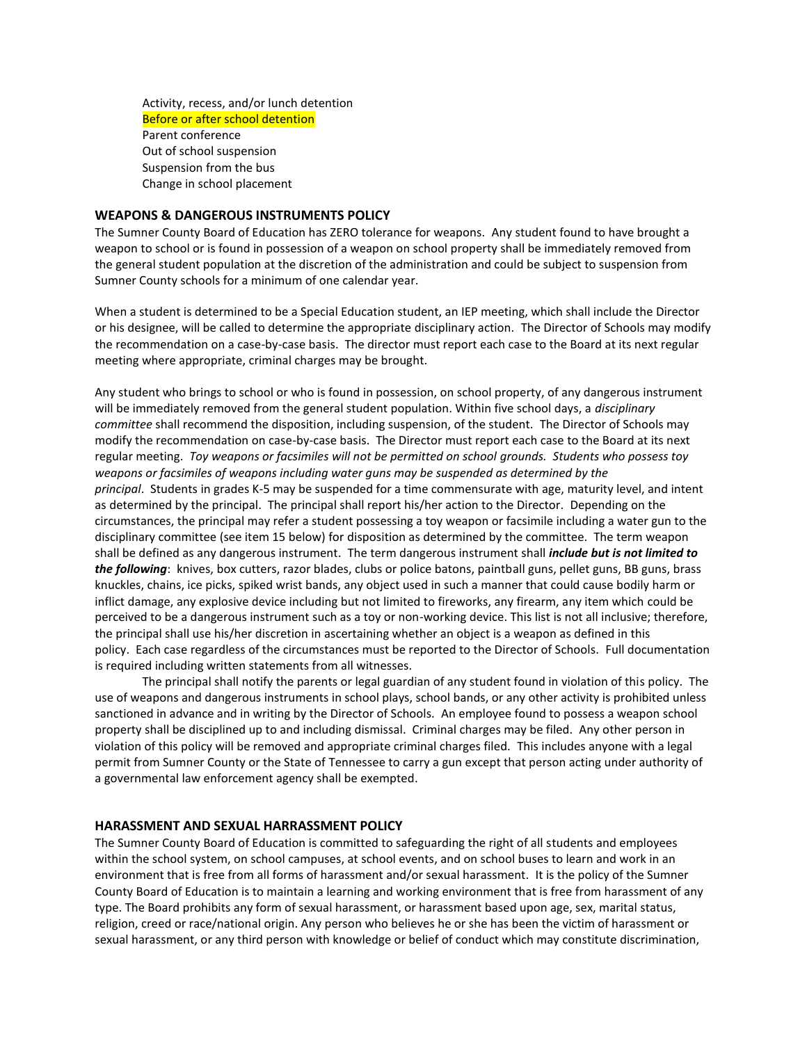Activity, recess, and/or lunch detention Before or after school detention Parent conference Out of school suspension Suspension from the bus Change in school placement

#### **WEAPONS & DANGEROUS INSTRUMENTS POLICY**

The Sumner County Board of Education has ZERO tolerance for weapons. Any student found to have brought a weapon to school or is found in possession of a weapon on school property shall be immediately removed from the general student population at the discretion of the administration and could be subject to suspension from Sumner County schools for a minimum of one calendar year.

When a student is determined to be a Special Education student, an IEP meeting, which shall include the Director or his designee, will be called to determine the appropriate disciplinary action. The Director of Schools may modify the recommendation on a case-by-case basis. The director must report each case to the Board at its next regular meeting where appropriate, criminal charges may be brought.

Any student who brings to school or who is found in possession, on school property, of any dangerous instrument will be immediately removed from the general student population. Within five school days, a *disciplinary committee* shall recommend the disposition, including suspension, of the student. The Director of Schools may modify the recommendation on case-by-case basis. The Director must report each case to the Board at its next regular meeting. *Toy weapons or facsimiles will not be permitted on school grounds. Students who possess toy weapons or facsimiles of weapons including water guns may be suspended as determined by the principal*. Students in grades K-5 may be suspended for a time commensurate with age, maturity level, and intent as determined by the principal. The principal shall report his/her action to the Director. Depending on the circumstances, the principal may refer a student possessing a toy weapon or facsimile including a water gun to the disciplinary committee (see item 15 below) for disposition as determined by the committee. The term weapon shall be defined as any dangerous instrument. The term dangerous instrument shall *include but is not limited to the following*: knives, box cutters, razor blades, clubs or police batons, paintball guns, pellet guns, BB guns, brass knuckles, chains, ice picks, spiked wrist bands, any object used in such a manner that could cause bodily harm or inflict damage, any explosive device including but not limited to fireworks, any firearm, any item which could be perceived to be a dangerous instrument such as a toy or non-working device. This list is not all inclusive; therefore, the principal shall use his/her discretion in ascertaining whether an object is a weapon as defined in this policy. Each case regardless of the circumstances must be reported to the Director of Schools. Full documentation is required including written statements from all witnesses.

The principal shall notify the parents or legal guardian of any student found in violation of this policy. The use of weapons and dangerous instruments in school plays, school bands, or any other activity is prohibited unless sanctioned in advance and in writing by the Director of Schools. An employee found to possess a weapon school property shall be disciplined up to and including dismissal. Criminal charges may be filed. Any other person in violation of this policy will be removed and appropriate criminal charges filed. This includes anyone with a legal permit from Sumner County or the State of Tennessee to carry a gun except that person acting under authority of a governmental law enforcement agency shall be exempted.

#### **HARASSMENT AND SEXUAL HARRASSMENT POLICY**

The Sumner County Board of Education is committed to safeguarding the right of all students and employees within the school system, on school campuses, at school events, and on school buses to learn and work in an environment that is free from all forms of harassment and/or sexual harassment. It is the policy of the Sumner County Board of Education is to maintain a learning and working environment that is free from harassment of any type. The Board prohibits any form of sexual harassment, or harassment based upon age, sex, marital status, religion, creed or race/national origin. Any person who believes he or she has been the victim of harassment or sexual harassment, or any third person with knowledge or belief of conduct which may constitute discrimination,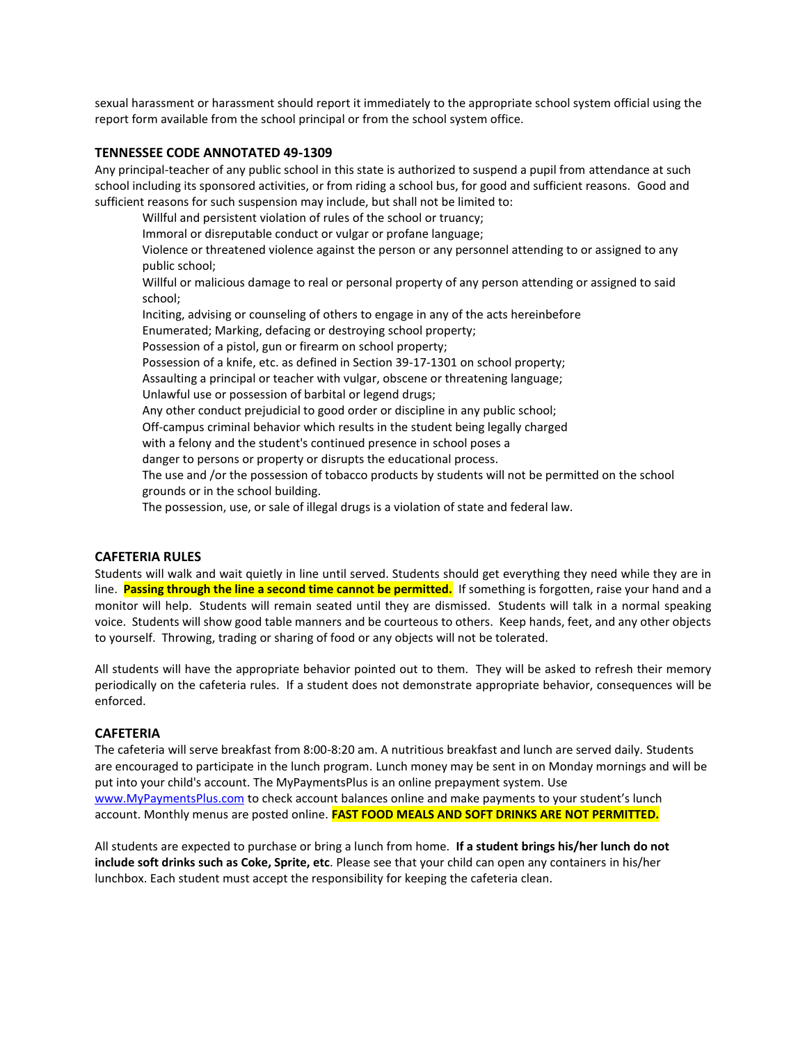sexual harassment or harassment should report it immediately to the appropriate school system official using the report form available from the school principal or from the school system office.

#### **TENNESSEE CODE ANNOTATED 49-1309**

Any principal-teacher of any public school in this state is authorized to suspend a pupil from attendance at such school including its sponsored activities, or from riding a school bus, for good and sufficient reasons. Good and sufficient reasons for such suspension may include, but shall not be limited to:

Willful and persistent violation of rules of the school or truancy; Immoral or disreputable conduct or vulgar or profane language; Violence or threatened violence against the person or any personnel attending to or assigned to any public school; Willful or malicious damage to real or personal property of any person attending or assigned to said school; Inciting, advising or counseling of others to engage in any of the acts hereinbefore Enumerated; Marking, defacing or destroying school property; Possession of a pistol, gun or firearm on school property; Possession of a knife, etc. as defined in Section 39-17-1301 on school property; Assaulting a principal or teacher with vulgar, obscene or threatening language; Unlawful use or possession of barbital or legend drugs; Any other conduct prejudicial to good order or discipline in any public school; Off-campus criminal behavior which results in the student being legally charged with a felony and the student's continued presence in school poses a danger to persons or property or disrupts the educational process. The use and /or the possession of tobacco products by students will not be permitted on the school grounds or in the school building. The possession, use, or sale of illegal drugs is a violation of state and federal law.

#### **CAFETERIA RULES**

Students will walk and wait quietly in line until served. Students should get everything they need while they are in line. **Passing through the line a second time cannot be permitted.** If something is forgotten, raise your hand and a monitor will help. Students will remain seated until they are dismissed. Students will talk in a normal speaking voice. Students will show good table manners and be courteous to others. Keep hands, feet, and any other objects to yourself. Throwing, trading or sharing of food or any objects will not be tolerated.

All students will have the appropriate behavior pointed out to them. They will be asked to refresh their memory periodically on the cafeteria rules. If a student does not demonstrate appropriate behavior, consequences will be enforced.

#### **CAFETERIA**

The cafeteria will serve breakfast from 8:00-8:20 am. A nutritious breakfast and lunch are served daily. Students are encouraged to participate in the lunch program. Lunch money may be sent in on Monday mornings and will be put into your child's account. The MyPaymentsPlus is an online prepayment system. Use [www.MyPaymentsPlus.com](http://www.mypaymentsplus.com/) to check account balances online and make payments to your student's lunch account. Monthly menus are posted online. **FAST FOOD MEALS AND SOFT DRINKS ARE NOT PERMITTED.**

All students are expected to purchase or bring a lunch from home. **If a student brings his/her lunch do not include soft drinks such as Coke, Sprite, etc**. Please see that your child can open any containers in his/her lunchbox. Each student must accept the responsibility for keeping the cafeteria clean.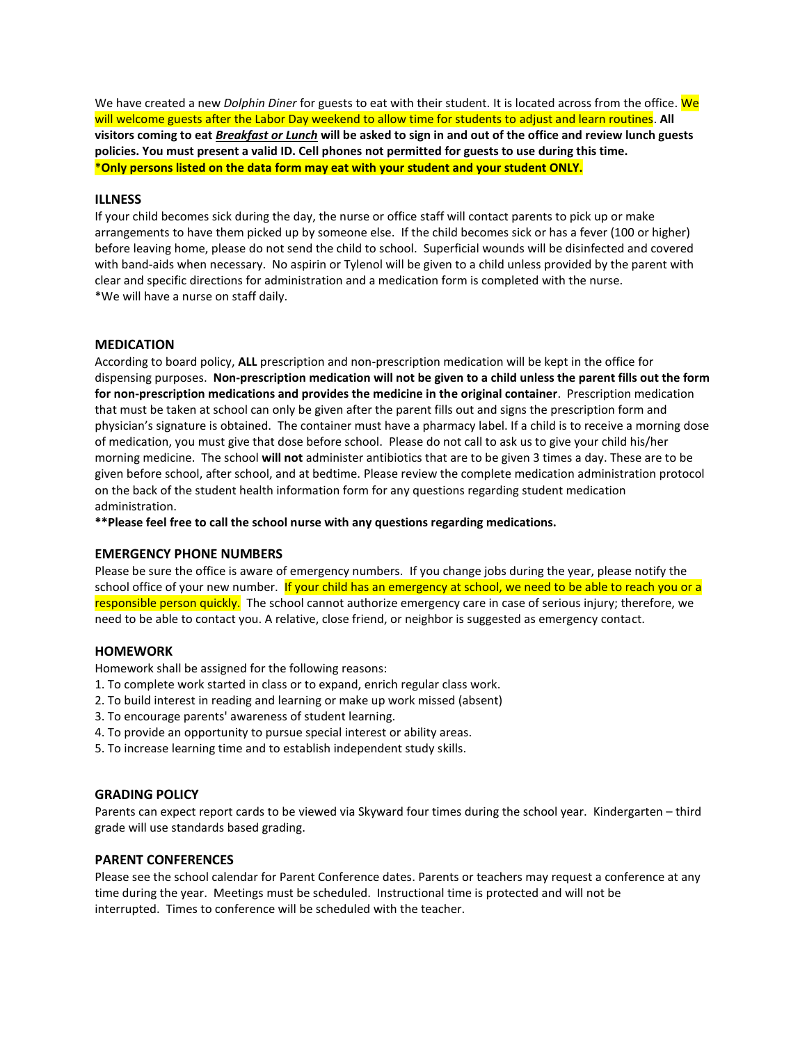We have created a new *Dolphin Diner* for guests to eat with their student. It is located across from the office. We will welcome guests after the Labor Day weekend to allow time for students to adjust and learn routines. **All visitors coming to eat** *Breakfast or Lunch* **will be asked to sign in and out of the office and review lunch guests policies. You must present a valid ID. Cell phones not permitted for guests to use during this time.** \***Only persons listed on the data form may eat with your student and your student ONLY.**

#### **ILLNESS**

If your child becomes sick during the day, the nurse or office staff will contact parents to pick up or make arrangements to have them picked up by someone else. If the child becomes sick or has a fever (100 or higher) before leaving home, please do not send the child to school. Superficial wounds will be disinfected and covered with band-aids when necessary. No aspirin or Tylenol will be given to a child unless provided by the parent with clear and specific directions for administration and a medication form is completed with the nurse. \*We will have a nurse on staff daily.

#### **MEDICATION**

According to board policy, **ALL** prescription and non-prescription medication will be kept in the office for dispensing purposes. **Non-prescription medication will not be given to a child unless the parent fills out the form for non-prescription medications and provides the medicine in the original container**. Prescription medication that must be taken at school can only be given after the parent fills out and signs the prescription form and physician's signature is obtained. The container must have a pharmacy label. If a child is to receive a morning dose of medication, you must give that dose before school. Please do not call to ask us to give your child his/her morning medicine. The school **will not** administer antibiotics that are to be given 3 times a day. These are to be given before school, after school, and at bedtime. Please review the complete medication administration protocol on the back of the student health information form for any questions regarding student medication administration.

**\*\*Please feel free to call the school nurse with any questions regarding medications.**

## **EMERGENCY PHONE NUMBERS**

Please be sure the office is aware of emergency numbers. If you change jobs during the year, please notify the school office of your new number. If your child has an emergency at school, we need to be able to reach you or a responsible person quickly. The school cannot authorize emergency care in case of serious injury; therefore, we need to be able to contact you. A relative, close friend, or neighbor is suggested as emergency contact.

## **HOMEWORK**

Homework shall be assigned for the following reasons:

- 1. To complete work started in class or to expand, enrich regular class work.
- 2. To build interest in reading and learning or make up work missed (absent)
- 3. To encourage parents' awareness of student learning.
- 4. To provide an opportunity to pursue special interest or ability areas.
- 5. To increase learning time and to establish independent study skills.

#### **GRADING POLICY**

Parents can expect report cards to be viewed via Skyward four times during the school year. Kindergarten – third grade will use standards based grading.

#### **PARENT CONFERENCES**

Please see the school calendar for Parent Conference dates. Parents or teachers may request a conference at any time during the year. Meetings must be scheduled. Instructional time is protected and will not be interrupted. Times to conference will be scheduled with the teacher.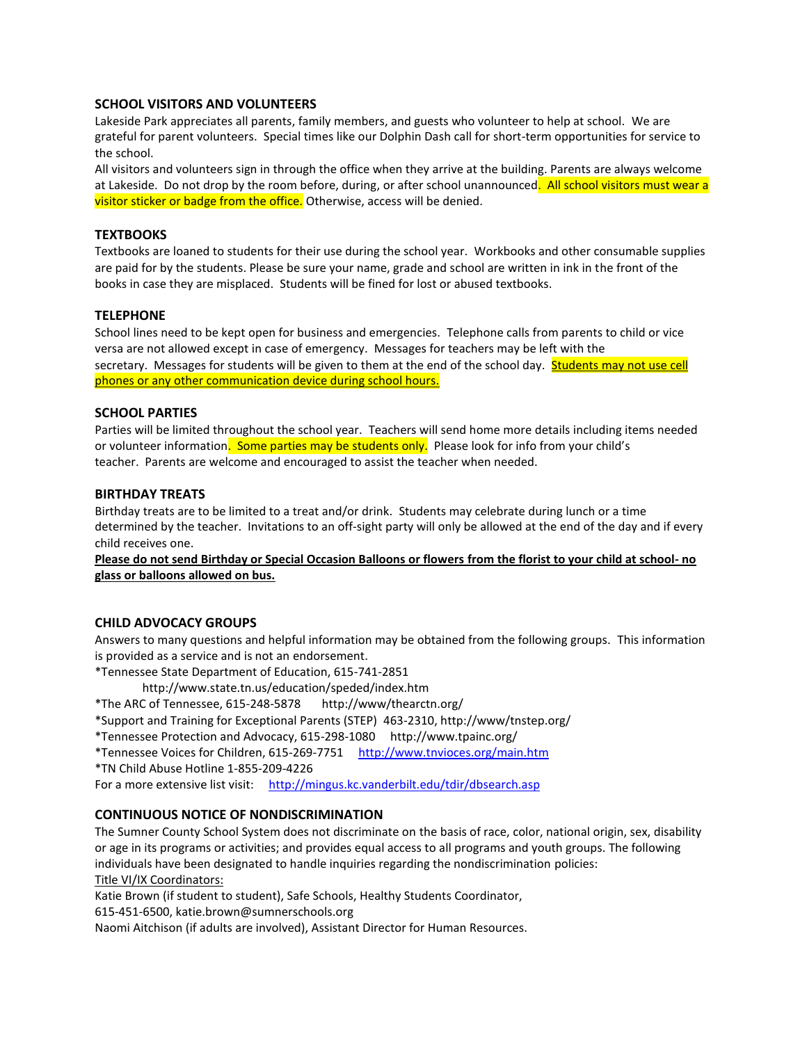## **SCHOOL VISITORS AND VOLUNTEERS**

Lakeside Park appreciates all parents, family members, and guests who volunteer to help at school. We are grateful for parent volunteers. Special times like our Dolphin Dash call for short-term opportunities for service to the school.

All visitors and volunteers sign in through the office when they arrive at the building. Parents are always welcome at Lakeside. Do not drop by the room before, during, or after school unannounced. All school visitors must wear a visitor sticker or badge from the office. Otherwise, access will be denied.

## **TEXTBOOKS**

Textbooks are loaned to students for their use during the school year. Workbooks and other consumable supplies are paid for by the students. Please be sure your name, grade and school are written in ink in the front of the books in case they are misplaced. Students will be fined for lost or abused textbooks.

## **TELEPHONE**

School lines need to be kept open for business and emergencies. Telephone calls from parents to child or vice versa are not allowed except in case of emergency. Messages for teachers may be left with the secretary. Messages for students will be given to them at the end of the school day. Students may not use cell phones or any other communication device during school hours.

## **SCHOOL PARTIES**

Parties will be limited throughout the school year. Teachers will send home more details including items needed or volunteer information. Some parties may be students only. Please look for info from your child's teacher. Parents are welcome and encouraged to assist the teacher when needed.

## **BIRTHDAY TREATS**

Birthday treats are to be limited to a treat and/or drink. Students may celebrate during lunch or a time determined by the teacher. Invitations to an off-sight party will only be allowed at the end of the day and if every child receives one.

**Please do not send Birthday or Special Occasion Balloons or flowers from the florist to your child at school- no glass or balloons allowed on bus.**

## **CHILD ADVOCACY GROUPS**

Answers to many questions and helpful information may be obtained from the following groups. This information is provided as a service and is not an endorsement.

\*Tennessee State Department of Education, 615-741-2851

http://www.state.tn.us/education/speded/index.htm

- \*The ARC of Tennessee, 615-248-5878 http://www/thearctn.org/
- \*Support and Training for Exceptional Parents (STEP) 463-2310, http://www/tnstep.org/

\*Tennessee Protection and Advocacy, 615-298-1080 http://www.tpainc.org/

\*Tennessee Voices for Children, 615-269-7751 <http://www.tnvioces.org/main.htm>

\*TN Child Abuse Hotline 1-855-209-4226

For a more extensive list visit: <http://mingus.kc.vanderbilt.edu/tdir/dbsearch.asp>

## **CONTINUOUS NOTICE OF NONDISCRIMINATION**

The Sumner County School System does not discriminate on the basis of race, color, national origin, sex, disability or age in its programs or activities; and provides equal access to all programs and youth groups. The following individuals have been designated to handle inquiries regarding the nondiscrimination policies: Title VI/IX Coordinators:

Katie Brown (if student to student), Safe Schools, Healthy Students Coordinator,

615-451-6500, katie.brown@sumnerschools.org

Naomi Aitchison (if adults are involved), Assistant Director for Human Resources.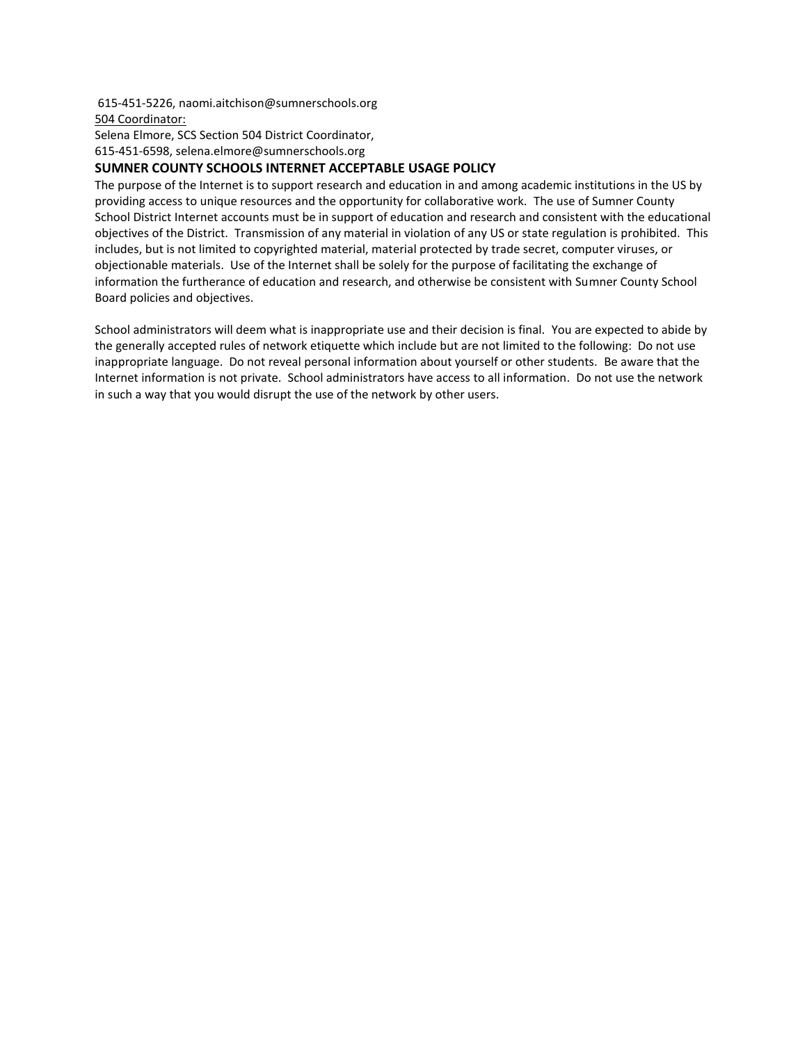615-451-5226, naomi.aitchison@sumnerschools.org 504 Coordinator:

Selena Elmore, SCS Section 504 District Coordinator,

615-451-6598, selena.elmore@sumnerschools.org

## **SUMNER COUNTY SCHOOLS INTERNET ACCEPTABLE USAGE POLICY**

The purpose of the Internet is to support research and education in and among academic institutions in the US by providing access to unique resources and the opportunity for collaborative work. The use of Sumner County School District Internet accounts must be in support of education and research and consistent with the educational objectives of the District. Transmission of any material in violation of any US or state regulation is prohibited. This includes, but is not limited to copyrighted material, material protected by trade secret, computer viruses, or objectionable materials. Use of the Internet shall be solely for the purpose of facilitating the exchange of information the furtherance of education and research, and otherwise be consistent with Sumner County School Board policies and objectives.

School administrators will deem what is inappropriate use and their decision is final. You are expected to abide by the generally accepted rules of network etiquette which include but are not limited to the following: Do not use inappropriate language. Do not reveal personal information about yourself or other students. Be aware that the Internet information is not private. School administrators have access to all information. Do not use the network in such a way that you would disrupt the use of the network by other users.